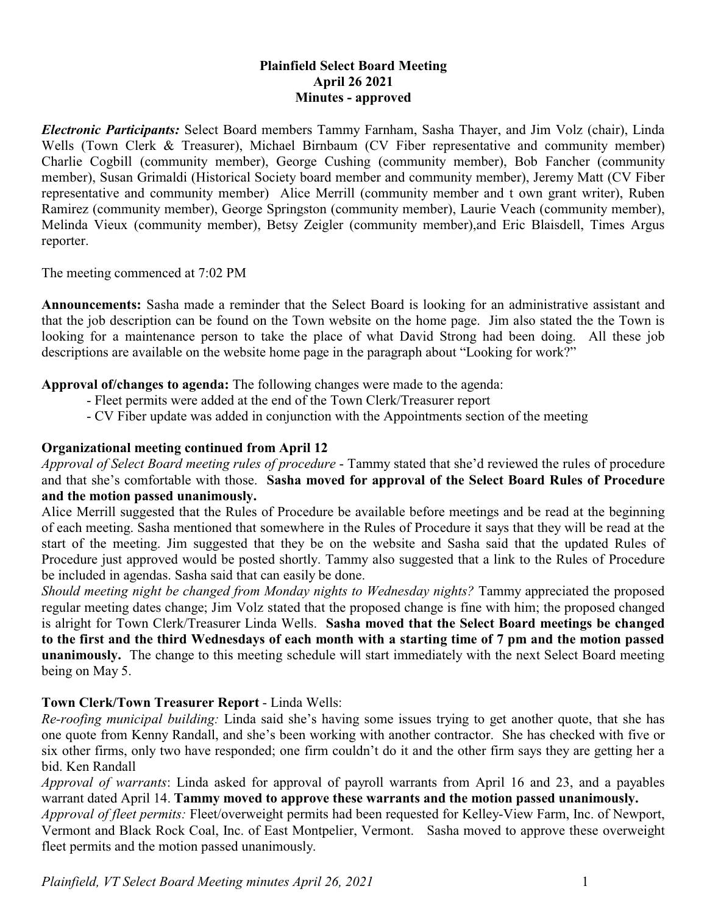# **Plainfield Select Board Meeting April 26 2021 Minutes - approved**

*Electronic Participants:* Select Board members Tammy Farnham, Sasha Thayer, and Jim Volz (chair), Linda Wells (Town Clerk & Treasurer), Michael Birnbaum (CV Fiber representative and community member) Charlie Cogbill (community member), George Cushing (community member), Bob Fancher (community member), Susan Grimaldi (Historical Society board member and community member), Jeremy Matt (CV Fiber representative and community member) Alice Merrill (community member and t own grant writer), Ruben Ramirez (community member), George Springston (community member), Laurie Veach (community member), Melinda Vieux (community member), Betsy Zeigler (community member),and Eric Blaisdell, Times Argus reporter.

The meeting commenced at 7:02 PM

**Announcements:** Sasha made a reminder that the Select Board is looking for an administrative assistant and that the job description can be found on the Town website on the home page. Jim also stated the the Town is looking for a maintenance person to take the place of what David Strong had been doing. All these job descriptions are available on the website home page in the paragraph about "Looking for work?"

**Approval of/changes to agenda:** The following changes were made to the agenda:

- Fleet permits were added at the end of the Town Clerk/Treasurer report
- CV Fiber update was added in conjunction with the Appointments section of the meeting

# **Organizational meeting continued from April 12**

*Approval of Select Board meeting rules of procedure* - Tammy stated that she'd reviewed the rules of procedure and that she's comfortable with those. **Sasha moved for approval of the Select Board Rules of Procedure and the motion passed unanimously.**

Alice Merrill suggested that the Rules of Procedure be available before meetings and be read at the beginning of each meeting. Sasha mentioned that somewhere in the Rules of Procedure it says that they will be read at the start of the meeting. Jim suggested that they be on the website and Sasha said that the updated Rules of Procedure just approved would be posted shortly. Tammy also suggested that a link to the Rules of Procedure be included in agendas. Sasha said that can easily be done.

*Should meeting night be changed from Monday nights to Wednesday nights?* Tammy appreciated the proposed regular meeting dates change; Jim Volz stated that the proposed change is fine with him; the proposed changed is alright for Town Clerk/Treasurer Linda Wells. **Sasha moved that the Select Board meetings be changed to the first and the third Wednesdays of each month with a starting time of 7 pm and the motion passed unanimously.** The change to this meeting schedule will start immediately with the next Select Board meeting being on May 5.

# **Town Clerk/Town Treasurer Report** - Linda Wells:

*Re-roofing municipal building:* Linda said she's having some issues trying to get another quote, that she has one quote from Kenny Randall, and she's been working with another contractor. She has checked with five or six other firms, only two have responded; one firm couldn't do it and the other firm says they are getting her a bid. Ken Randall

*Approval of warrants*: Linda asked for approval of payroll warrants from April 16 and 23, and a payables warrant dated April 14. **Tammy moved to approve these warrants and the motion passed unanimously.**

*Approval of fleet permits:* Fleet/overweight permits had been requested for Kelley-View Farm, Inc. of Newport, Vermont and Black Rock Coal, Inc. of East Montpelier, Vermont. Sasha moved to approve these overweight fleet permits and the motion passed unanimously.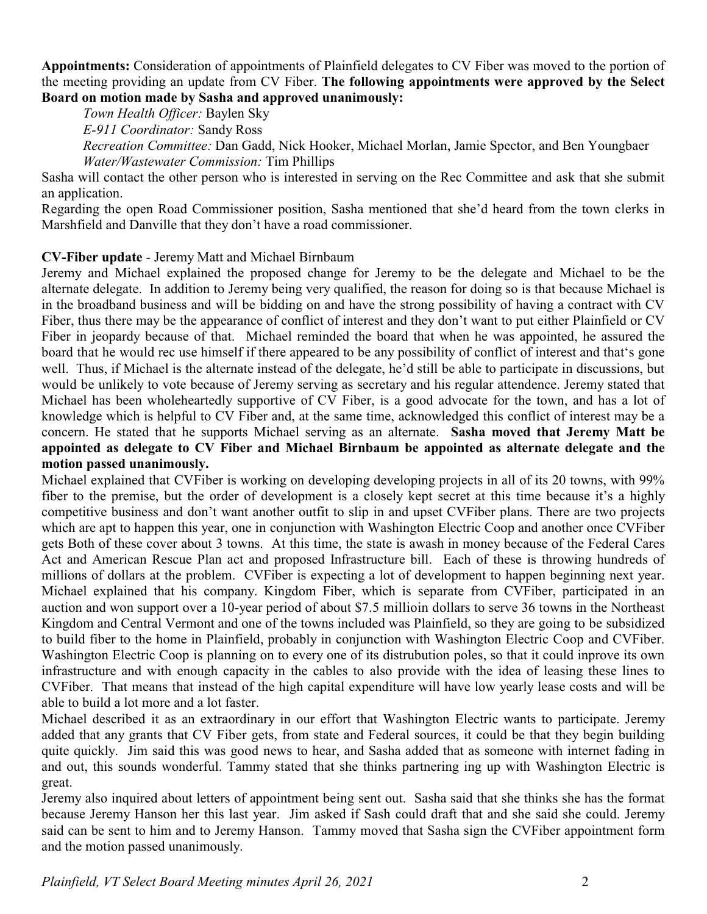**Appointments:** Consideration of appointments of Plainfield delegates to CV Fiber was moved to the portion of the meeting providing an update from CV Fiber. **The following appointments were approved by the Select Board on motion made by Sasha and approved unanimously:**

*Town Health Officer:* Baylen Sky

*E-911 Coordinator:* Sandy Ross

*Recreation Committee:* Dan Gadd, Nick Hooker, Michael Morlan, Jamie Spector, and Ben Youngbaer *Water/Wastewater Commission:* Tim Phillips

Sasha will contact the other person who is interested in serving on the Rec Committee and ask that she submit an application.

Regarding the open Road Commissioner position, Sasha mentioned that she'd heard from the town clerks in Marshfield and Danville that they don't have a road commissioner.

# **CV-Fiber update** - Jeremy Matt and Michael Birnbaum

Jeremy and Michael explained the proposed change for Jeremy to be the delegate and Michael to be the alternate delegate. In addition to Jeremy being very qualified, the reason for doing so is that because Michael is in the broadband business and will be bidding on and have the strong possibility of having a contract with CV Fiber, thus there may be the appearance of conflict of interest and they don't want to put either Plainfield or CV Fiber in jeopardy because of that. Michael reminded the board that when he was appointed, he assured the board that he would rec use himself if there appeared to be any possibility of conflict of interest and that's gone well. Thus, if Michael is the alternate instead of the delegate, he'd still be able to participate in discussions, but would be unlikely to vote because of Jeremy serving as secretary and his regular attendence. Jeremy stated that Michael has been wholeheartedly supportive of CV Fiber, is a good advocate for the town, and has a lot of knowledge which is helpful to CV Fiber and, at the same time, acknowledged this conflict of interest may be a concern. He stated that he supports Michael serving as an alternate. **Sasha moved that Jeremy Matt be appointed as delegate to CV Fiber and Michael Birnbaum be appointed as alternate delegate and the motion passed unanimously.** 

Michael explained that CVFiber is working on developing developing projects in all of its 20 towns, with 99% fiber to the premise, but the order of development is a closely kept secret at this time because it's a highly competitive business and don't want another outfit to slip in and upset CVFiber plans. There are two projects which are apt to happen this year, one in conjunction with Washington Electric Coop and another once CVFiber gets Both of these cover about 3 towns. At this time, the state is awash in money because of the Federal Cares Act and American Rescue Plan act and proposed Infrastructure bill. Each of these is throwing hundreds of millions of dollars at the problem. CVFiber is expecting a lot of development to happen beginning next year. Michael explained that his company. Kingdom Fiber, which is separate from CVFiber, participated in an auction and won support over a 10-year period of about \$7.5 millioin dollars to serve 36 towns in the Northeast Kingdom and Central Vermont and one of the towns included was Plainfield, so they are going to be subsidized to build fiber to the home in Plainfield, probably in conjunction with Washington Electric Coop and CVFiber. Washington Electric Coop is planning on to every one of its distrubution poles, so that it could inprove its own infrastructure and with enough capacity in the cables to also provide with the idea of leasing these lines to CVFiber. That means that instead of the high capital expenditure will have low yearly lease costs and will be able to build a lot more and a lot faster.

Michael described it as an extraordinary in our effort that Washington Electric wants to participate. Jeremy added that any grants that CV Fiber gets, from state and Federal sources, it could be that they begin building quite quickly. Jim said this was good news to hear, and Sasha added that as someone with internet fading in and out, this sounds wonderful. Tammy stated that she thinks partnering ing up with Washington Electric is great.

Jeremy also inquired about letters of appointment being sent out. Sasha said that she thinks she has the format because Jeremy Hanson her this last year. Jim asked if Sash could draft that and she said she could. Jeremy said can be sent to him and to Jeremy Hanson. Tammy moved that Sasha sign the CVFiber appointment form and the motion passed unanimously.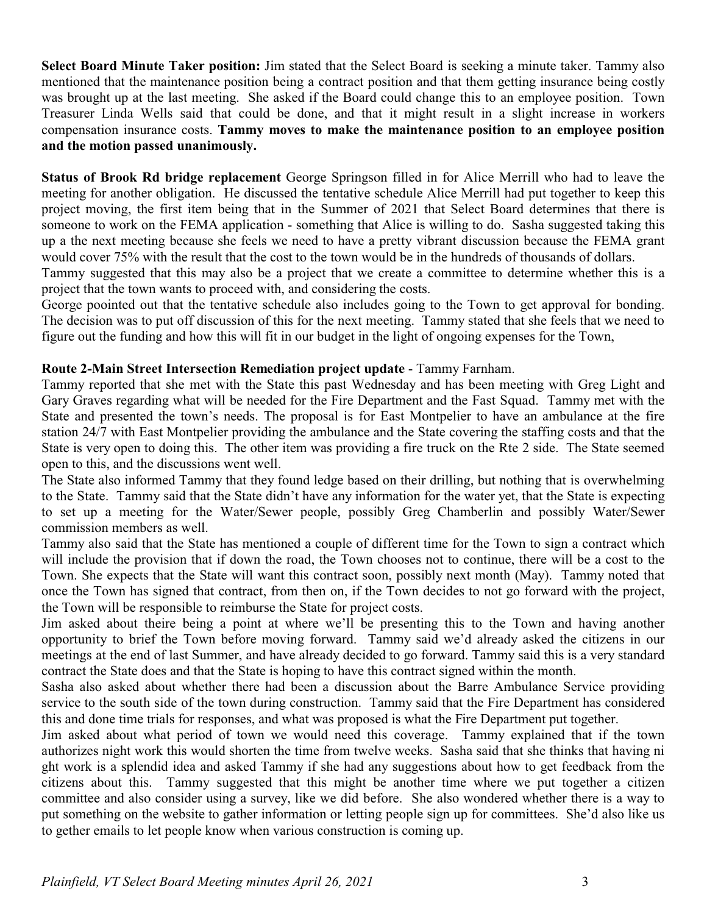**Select Board Minute Taker position:** Jim stated that the Select Board is seeking a minute taker. Tammy also mentioned that the maintenance position being a contract position and that them getting insurance being costly was brought up at the last meeting. She asked if the Board could change this to an employee position. Town Treasurer Linda Wells said that could be done, and that it might result in a slight increase in workers compensation insurance costs. **Tammy moves to make the maintenance position to an employee position and the motion passed unanimously.**

**Status of Brook Rd bridge replacement** George Springson filled in for Alice Merrill who had to leave the meeting for another obligation. He discussed the tentative schedule Alice Merrill had put together to keep this project moving, the first item being that in the Summer of 2021 that Select Board determines that there is someone to work on the FEMA application - something that Alice is willing to do. Sasha suggested taking this up a the next meeting because she feels we need to have a pretty vibrant discussion because the FEMA grant would cover 75% with the result that the cost to the town would be in the hundreds of thousands of dollars.

Tammy suggested that this may also be a project that we create a committee to determine whether this is a project that the town wants to proceed with, and considering the costs.

George poointed out that the tentative schedule also includes going to the Town to get approval for bonding. The decision was to put off discussion of this for the next meeting. Tammy stated that she feels that we need to figure out the funding and how this will fit in our budget in the light of ongoing expenses for the Town,

# **Route 2-Main Street Intersection Remediation project update** - Tammy Farnham.

Tammy reported that she met with the State this past Wednesday and has been meeting with Greg Light and Gary Graves regarding what will be needed for the Fire Department and the Fast Squad. Tammy met with the State and presented the town's needs. The proposal is for East Montpelier to have an ambulance at the fire station 24/7 with East Montpelier providing the ambulance and the State covering the staffing costs and that the State is very open to doing this. The other item was providing a fire truck on the Rte 2 side. The State seemed open to this, and the discussions went well.

The State also informed Tammy that they found ledge based on their drilling, but nothing that is overwhelming to the State. Tammy said that the State didn't have any information for the water yet, that the State is expecting to set up a meeting for the Water/Sewer people, possibly Greg Chamberlin and possibly Water/Sewer commission members as well.

Tammy also said that the State has mentioned a couple of different time for the Town to sign a contract which will include the provision that if down the road, the Town chooses not to continue, there will be a cost to the Town. She expects that the State will want this contract soon, possibly next month (May). Tammy noted that once the Town has signed that contract, from then on, if the Town decides to not go forward with the project, the Town will be responsible to reimburse the State for project costs.

Jim asked about theire being a point at where we'll be presenting this to the Town and having another opportunity to brief the Town before moving forward. Tammy said we'd already asked the citizens in our meetings at the end of last Summer, and have already decided to go forward. Tammy said this is a very standard contract the State does and that the State is hoping to have this contract signed within the month.

Sasha also asked about whether there had been a discussion about the Barre Ambulance Service providing service to the south side of the town during construction. Tammy said that the Fire Department has considered this and done time trials for responses, and what was proposed is what the Fire Department put together.

Jim asked about what period of town we would need this coverage. Tammy explained that if the town authorizes night work this would shorten the time from twelve weeks. Sasha said that she thinks that having ni ght work is a splendid idea and asked Tammy if she had any suggestions about how to get feedback from the citizens about this. Tammy suggested that this might be another time where we put together a citizen committee and also consider using a survey, like we did before. She also wondered whether there is a way to put something on the website to gather information or letting people sign up for committees. She'd also like us to gether emails to let people know when various construction is coming up.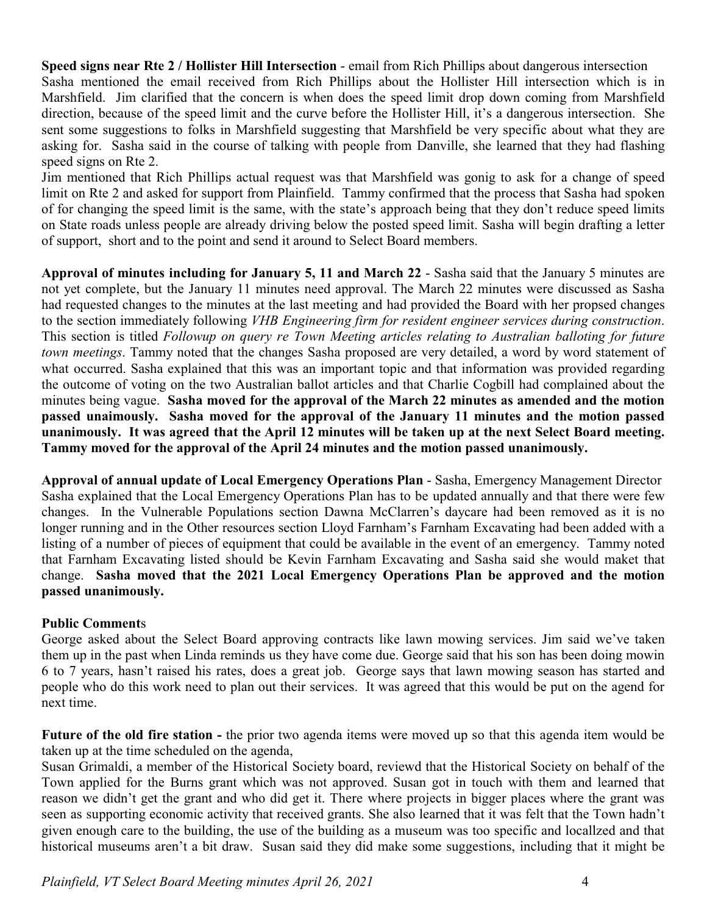**Speed signs near Rte 2 / Hollister Hill Intersection** - email from Rich Phillips about dangerous intersection Sasha mentioned the email received from Rich Phillips about the Hollister Hill intersection which is in Marshfield. Jim clarified that the concern is when does the speed limit drop down coming from Marshfield direction, because of the speed limit and the curve before the Hollister Hill, it's a dangerous intersection. She sent some suggestions to folks in Marshfield suggesting that Marshfield be very specific about what they are asking for. Sasha said in the course of talking with people from Danville, she learned that they had flashing speed signs on Rte 2.

Jim mentioned that Rich Phillips actual request was that Marshfield was gonig to ask for a change of speed limit on Rte 2 and asked for support from Plainfield. Tammy confirmed that the process that Sasha had spoken of for changing the speed limit is the same, with the state's approach being that they don't reduce speed limits on State roads unless people are already driving below the posted speed limit. Sasha will begin drafting a letter of support, short and to the point and send it around to Select Board members.

**Approval of minutes including for January 5, 11 and March 22** - Sasha said that the January 5 minutes are not yet complete, but the January 11 minutes need approval. The March 22 minutes were discussed as Sasha had requested changes to the minutes at the last meeting and had provided the Board with her propsed changes to the section immediately following *VHB Engineering firm for resident engineer services during construction*. This section is titled *Followup on query re Town Meeting articles relating to Australian balloting for future town meetings*. Tammy noted that the changes Sasha proposed are very detailed, a word by word statement of what occurred. Sasha explained that this was an important topic and that information was provided regarding the outcome of voting on the two Australian ballot articles and that Charlie Cogbill had complained about the minutes being vague. **Sasha moved for the approval of the March 22 minutes as amended and the motion passed unaimously. Sasha moved for the approval of the January 11 minutes and the motion passed unanimously. It was agreed that the April 12 minutes will be taken up at the next Select Board meeting. Tammy moved for the approval of the April 24 minutes and the motion passed unanimously.**

**Approval of annual update of Local Emergency Operations Plan** - Sasha, Emergency Management Director Sasha explained that the Local Emergency Operations Plan has to be updated annually and that there were few changes. In the Vulnerable Populations section Dawna McClarren's daycare had been removed as it is no longer running and in the Other resources section Lloyd Farnham's Farnham Excavating had been added with a listing of a number of pieces of equipment that could be available in the event of an emergency. Tammy noted that Farnham Excavating listed should be Kevin Farnham Excavating and Sasha said she would maket that change. **Sasha moved that the 2021 Local Emergency Operations Plan be approved and the motion passed unanimously.**

# **Public Comment**s

George asked about the Select Board approving contracts like lawn mowing services. Jim said we've taken them up in the past when Linda reminds us they have come due. George said that his son has been doing mowin 6 to 7 years, hasn't raised his rates, does a great job. George says that lawn mowing season has started and people who do this work need to plan out their services. It was agreed that this would be put on the agend for next time.

**Future of the old fire station -** the prior two agenda items were moved up so that this agenda item would be taken up at the time scheduled on the agenda,

Susan Grimaldi, a member of the Historical Society board, reviewd that the Historical Society on behalf of the Town applied for the Burns grant which was not approved. Susan got in touch with them and learned that reason we didn't get the grant and who did get it. There where projects in bigger places where the grant was seen as supporting economic activity that received grants. She also learned that it was felt that the Town hadn't given enough care to the building, the use of the building as a museum was too specific and locallzed and that historical museums aren't a bit draw. Susan said they did make some suggestions, including that it might be